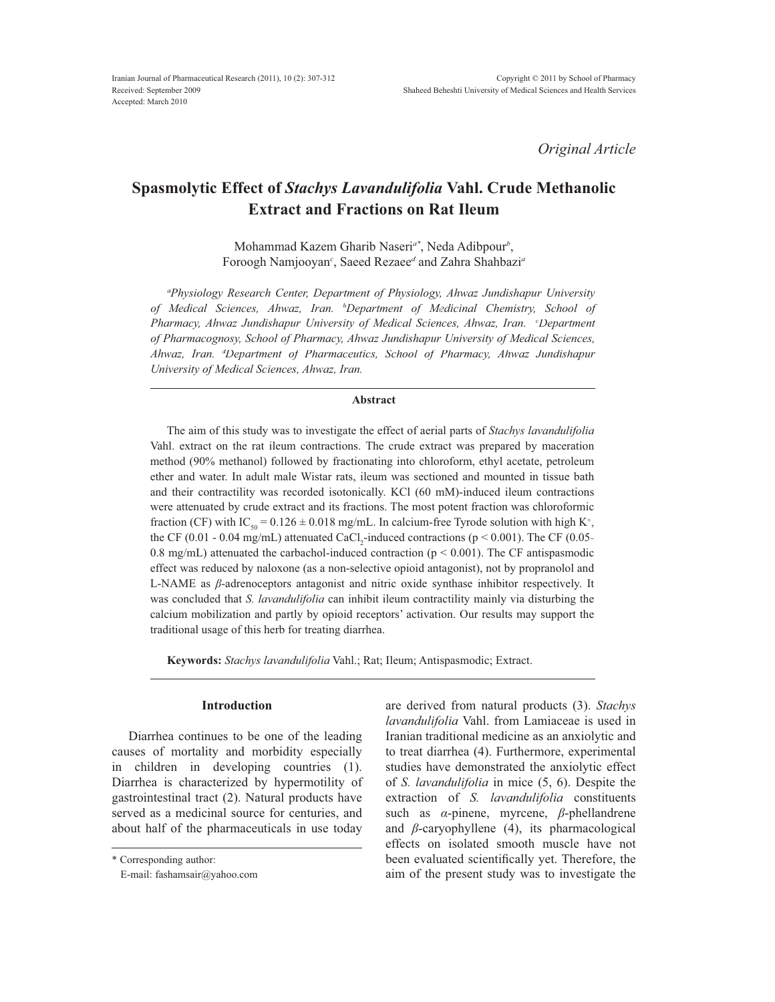*Original Article*

# **Spasmolytic Effect of** *Stachys Lavandulifolia* **Vahl. Crude Methanolic Extract and Fractions on Rat Ileum**

Mohammad Kazem Gharib Naseri*a\** , Neda Adibpour*<sup>b</sup>* , Foroogh Namjooyan*<sup>c</sup>* , Saeed Rezaee*<sup>d</sup>* and Zahra Shahbazi*<sup>a</sup>*

*a Physiology Research Center, Department of Physiology, Ahwaz Jundishapur University of Medical Sciences, Ahwaz, Iran. b Department of Medicinal Chemistry, School of Pharmacy, Ahwaz Jundishapur University of Medical Sciences, Ahwaz, Iran. <sup>c</sup> Department of Pharmacognosy, School of Pharmacy, Ahwaz Jundishapur University of Medical Sciences, Ahwaz, Iran. <sup>d</sup> Department of Pharmaceutics, School of Pharmacy, Ahwaz Jundishapur University of Medical Sciences, Ahwaz, Iran.*

#### **Abstract**

The aim of this study was to investigate the effect of aerial parts of *Stachys lavandulifolia* Vahl. extract on the rat ileum contractions. The crude extract was prepared by maceration method (90% methanol) followed by fractionating into chloroform, ethyl acetate, petroleum ether and water. In adult male Wistar rats, ileum was sectioned and mounted in tissue bath and their contractility was recorded isotonically. KCl (60 mM)-induced ileum contractions were attenuated by crude extract and its fractions. The most potent fraction was chloroformic fraction (CF) with IC<sub>50</sub> =  $0.126 \pm 0.018$  mg/mL. In calcium-free Tyrode solution with high K<sup>+</sup>, the CF (0.01 - 0.04 mg/mL) attenuated CaCl<sub>2</sub>-induced contractions ( $p < 0.001$ ). The CF (0.05-0.8 mg/mL) attenuated the carbachol-induced contraction ( $p < 0.001$ ). The CF antispasmodic effect was reduced by naloxone (as a non-selective opioid antagonist), not by propranolol and  $L$ -NAME as  $\beta$ -adrenoceptors antagonist and nitric oxide synthase inhibitor respectively. It was concluded that *S. lavandulifolia* can inhibit ileum contractility mainly via disturbing the calcium mobilization and partly by opioid receptors' activation. Our results may support the traditional usage of this herb for treating diarrhea.

**Keywords:** *Stachys lavandulifolia* Vahl.; Rat; Ileum; Antispasmodic; Extract.

## **Introduction**

Diarrhea continues to be one of the leading causes of mortality and morbidity especially in children in developing countries (1). Diarrhea is characterized by hypermotility of gastrointestinal tract (2). Natural products have served as a medicinal source for centuries, and about half of the pharmaceuticals in use today

are derived from natural products (3). *Stachys lavandulifolia* Vahl. from Lamiaceae is used in Iranian traditional medicine as an anxiolytic and to treat diarrhea (4). Furthermore, experimental studies have demonstrated the anxiolytic effect of *S. lavandulifolia* in mice (5, 6). Despite the extraction of *S. lavandulifolia* constituents such as  $\alpha$ -pinene, myrcene,  $\beta$ -phellandrene and  $\beta$ -caryophyllene (4), its pharmacological effects on isolated smooth muscle have not been evaluated scientifically yet. Therefore, the aim of the present study was to investigate the

<sup>\*</sup> Corresponding author:

E-mail: fashamsair@yahoo.com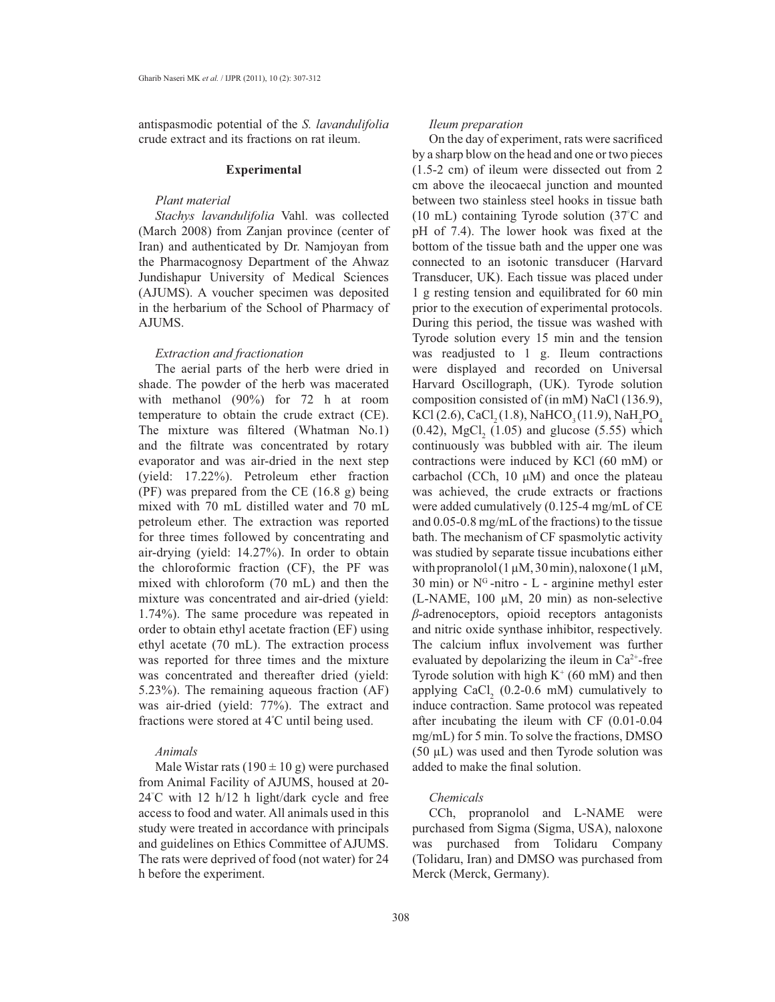antispasmodic potential of the *S. lavandulifolia*  crude extract and its fractions on rat ileum.

#### **Experimental**

## *Plant material*

*Stachys lavandulifolia* Vahl. was collected (March 2008) from Zanjan province (center of Iran) and authenticated by Dr. Namjoyan from the Pharmacognosy Department of the Ahwaz Jundishapur University of Medical Sciences (AJUMS). A voucher specimen was deposited in the herbarium of the School of Pharmacy of AJUMS.

## *Extraction and fractionation*

The aerial parts of the herb were dried in shade. The powder of the herb was macerated with methanol (90%) for 72 h at room temperature to obtain the crude extract (CE). The mixture was filtered (Whatman No.1) and the filtrate was concentrated by rotary evaporator and was air-dried in the next step (yield: 17.22%). Petroleum ether fraction (PF) was prepared from the CE (16.8 g) being mixed with 70 mL distilled water and 70 mL petroleum ether. The extraction was reported for three times followed by concentrating and air-drying (yield: 14.27%). In order to obtain the chloroformic fraction (CF), the PF was mixed with chloroform  $(70 \text{ mL})$  and then the mixture was concentrated and air-dried (yield: 1.74%). The same procedure was repeated in order to obtain ethyl acetate fraction (EF) using ethyl acetate  $(70 \text{ mL})$ . The extraction process was reported for three times and the mixture was concentrated and thereafter dried (yield: 5.23%). The remaining aqueous fraction (AF) was air-dried (yield: 77%). The extract and fractions were stored at 4º C until being used.

## *Animals*

Male Wistar rats  $(190 \pm 10 \text{ g})$  were purchased from Animal Facility of AJUMS, housed at 20- 24 C with 12 h/12 h light/dark cycle and free access to food and water. All animals used in this study were treated in accordance with principals and guidelines on Ethics Committee of AJUMS. The rats were deprived of food (not water) for 24 h before the experiment.

## *Ileum preparation*

On the day of experiment, rats were sacrificed by a sharp blow on the head and one or two pieces (1.5-2 cm) of ileum were dissected out from 2 cm above the ileocaecal junction and mounted between two stainless steel hooks in tissue bath (10 mL) containing Tyrode solution (37 $\degree$ C and pH of 7.4). The lower hook was fixed at the bottom of the tissue bath and the upper one was connected to an isotonic transducer (Harvard Transducer, UK). Each tissue was placed under 1 g resting tension and equilibrated for 60 min prior to the execution of experimental protocols. During this period, the tissue was washed with Tyrode solution every 15 min and the tension was readjusted to 1 g. Ileum contractions were displayed and recorded on Universal Harvard Oscillograph, (UK). Tyrode solution composition consisted of (in mM) NaCl (136.9), KCl (2.6), CaCl<sub>2</sub>(1.8), NaHCO<sub>3</sub>(11.9), NaH<sub>2</sub>PO<sub>4</sub>  $(0.42)$ , MgCl<sub>2</sub>  $(1.05)$  and glucose  $(5.55)$  which continuously was bubbled with air. The ileum contractions were induced by KCl (60 mM) or carbachol (CCh,  $10 \mu M$ ) and once the plateau was achieved, the crude extracts or fractions were added cumulatively  $(0.125-4$  mg/mL of CE and  $0.05$ -0.8 mg/mL of the fractions) to the tissue bath. The mechanism of CF spasmolytic activity was studied by separate tissue incubations either with propranolol ( $1 \mu$ M,  $30 \text{ min}$ ), naloxone ( $1 \mu$ M, 30 min) or  $N<sup>G</sup>$ -nitro - L - arginine methyl ester (L-NAME, 100  $\mu$ M, 20 min) as non-selective  $\beta$ -adrenoceptors, opioid receptors antagonists and nitric oxide synthase inhibitor, respectively. The calcium influx involvement was further evaluated by depolarizing the ileum in  $Ca^{2+}$ -free Tyrode solution with high  $K^+$  (60 mM) and then applying CaCl<sub>2</sub>  $(0.2-0.6 \text{ mM})$  cumulatively to induce contraction. Same protocol was repeated after incubating the ileum with CF (0.01-0.04  $mg/mL$ ) for 5 min. To solve the fractions, DMSO  $(50 \mu L)$  was used and then Tyrode solution was added to make the final solution.

#### *Chemicals*

CCh, propranolol and L-NAME were purchased from Sigma (Sigma, USA), naloxone was purchased from Tolidaru Company (Tolidaru, Iran) and DMSO was purchased from Merck (Merck, Germany).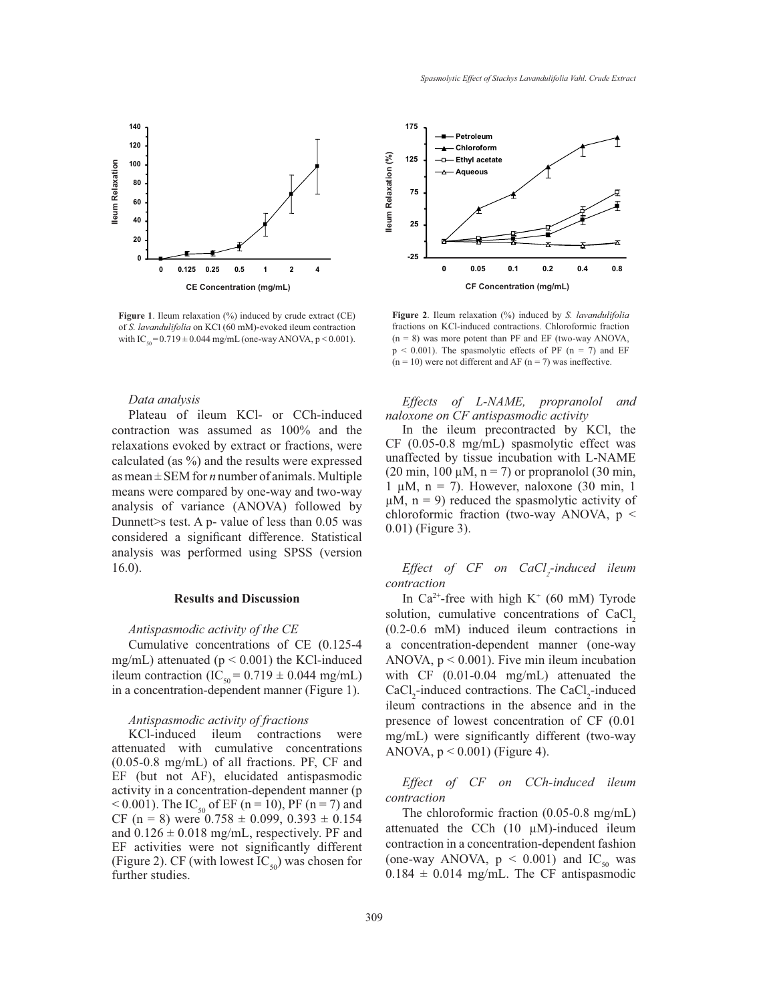

**Figure 1**. Ileum relaxation (%) induced by crude extract (CE) of *S. lavandulifolia* on KCl (60 mM)-evoked ileum contraction with  $IC_{50} = 0.719 \pm 0.044$  mg/mL (one-way ANOVA, p < 0.001).

## *Data analysis*

Plateau of ileum KCl- or CCh-induced contraction was assumed as 100% and the relaxations evoked by extract or fractions, were calculated (as %) and the results were expressed as mean ± SEM for *n* number of animals. Multiple means were compared by one-way and two-way analysis of variance (ANOVA) followed by Dunnett>s test. A p- value of less than 0.05 was considered a significant difference. Statistical analysis was performed using SPSS (version 16.0).

### **Results and Discussion**

#### *Antispasmodic activity of the CE*

Cumulative concentrations of CE (0.125-4 mg/mL) attenuated ( $p < 0.001$ ) the KCl-induced ileum contraction (IC<sub>50</sub> = 0.719  $\pm$  0.044 mg/mL) in a concentration-dependent manner (Figure 1).

#### *Antispasmodic activity of fractions*

KCl-induced ileum contractions were attenuated with cumulative concentrations  $(0.05$ -0.8 mg/mL) of all fractions. PF, CF and EF (but not AF), elucidated antispasmodic activity in a concentration-dependent manner (p  $<$  0.001). The IC<sub>50</sub> of EF (n = 10), PF (n = 7) and CF (n = 8) were  $0.758 \pm 0.099$ ,  $0.393 \pm 0.154$ and  $0.126 \pm 0.018$  mg/mL, respectively. PF and EF activities were not significantly different (Figure 2). CF (with lowest  $IC_{50}$ ) was chosen for further studies.



**Figure 2**. Ileum relaxation (%) induced by *S. lavandulifolia* fractions on KCl-induced contractions. Chloroformic fraction  $(n = 8)$  was more potent than PF and EF (two-way ANOVA,  $p < 0.001$ ). The spasmolytic effects of PF (n = 7) and EF  $(n = 10)$  were not different and AF  $(n = 7)$  was ineffective.

*Effects of L-NAME, propranolol and naloxone on CF antispasmodic activity*

In the ileum precontracted by KCl, the  $CF$  (0.05-0.8 mg/mL) spasmolytic effect was unaffected by tissue incubation with L-NAME (20 min, 100  $\mu$ M, n = 7) or propranolol (30 min, 1  $\mu$ M, n = 7). However, naloxone (30 min, 1)  $\mu$ M, n = 9) reduced the spasmolytic activity of chloroformic fraction (two-way ANOVA, p < 0.01) (Figure 3).

Effect of CF on CaCl<sub>2</sub>-induced ileum *contraction*

In  $Ca^{2+}$ -free with high K<sup>+</sup> (60 mM) Tyrode solution, cumulative concentrations of CaCl<sub>2</sub> (0.2-0.6 mM) induced ileum contractions in a concentration-dependent manner (one-way ANOVA,  $p < 0.001$ ). Five min ileum incubation with  $CF$  (0.01-0.04 mg/mL) attenuated the  $CaCl<sub>2</sub>$ -induced contractions. The CaCl<sub>2</sub>-induced ileum contractions in the absence and in the presence of lowest concentration of CF (0.01 mg/mL) were significantly different (two-way ANOVA,  $p < 0.001$ ) (Figure 4).

*Effect of CF on CCh-induced ileum contraction*

The chloroformic fraction  $(0.05-0.8 \text{ mg/mL})$ attenuated the CCh  $(10 \mu M)$ -induced ileum contraction in a concentration-dependent fashion (one-way ANOVA,  $p \leq 0.001$ ) and IC<sub>50</sub> was  $0.184 \pm 0.014$  mg/mL. The CF antispasmodic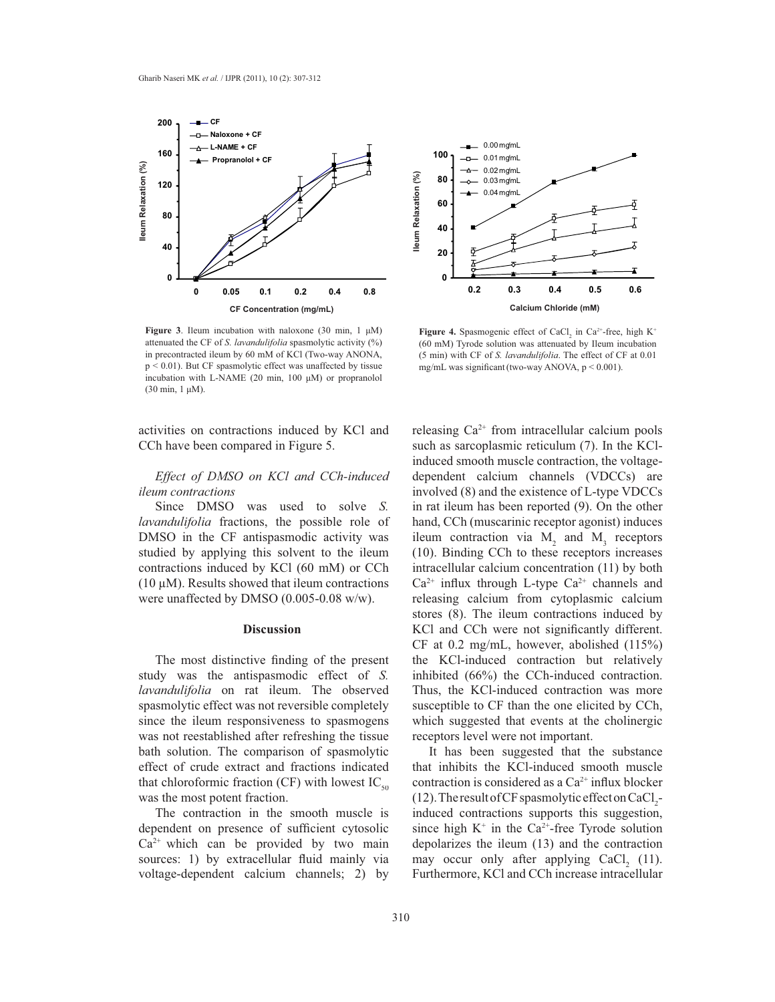

**Figure 3**. Ileum incubation with naloxone (30 min,  $1 \mu M$ ) attenuated the CF of *S. lavandulifolia* spasmolytic activity (%) in precontracted ileum by 60 mM of KCl (Two-way ANONA, p < 0.01). But CF spasmolytic effect was unaffected by tissue incubation with L-NAME (20 min, 100  $\mu$ M) or propranolol  $(30 \text{ min}, 1 \text{ }\mu\text{M}).$ 

activities on contractions induced by KCl and CCh have been compared in Figure 5.

# *Effect of DMSO on KCl and CCh-induced ileum contractions*

Since DMSO was used to solve *S. lavandulifolia* fractions, the possible role of DMSO in the CF antispasmodic activity was studied by applying this solvent to the ileum contractions induced by KCl (60 mM) or CCh (10  $\mu$ M). Results showed that ileum contractions were unaffected by DMSO (0.005-0.08 w/w).

### **Discussion**

The most distinctive finding of the present study was the antispasmodic effect of *S. lavandulifolia* on rat ileum. The observed spasmolytic effect was not reversible completely since the ileum responsiveness to spasmogens was not reestablished after refreshing the tissue bath solution. The comparison of spasmolytic effect of crude extract and fractions indicated that chloroformic fraction (CF) with lowest  $IC_{50}$ was the most potent fraction.

The contraction in the smooth muscle is dependent on presence of sufficient cytosolic  $Ca<sup>2+</sup>$  which can be provided by two main sources: 1) by extracellular fluid mainly via voltage-dependent calcium channels; 2) by



**Figure 4.** Spasmogenic effect of CaCl<sub>2</sub> in Ca<sup>2+</sup>-free, high K<sup>+</sup> (60 mM) Tyrode solution was attenuated by Ileum incubation (5 min) with CF of *S. lavandulifolia*. The effect of CF at 0.01 mg/mL was significant (two-way ANOVA,  $p < 0.001$ ).

releasing  $Ca^{2+}$  from intracellular calcium pools such as sarcoplasmic reticulum (7). In the KClinduced smooth muscle contraction, the voltagedependent calcium channels (VDCCs) are involved  $(8)$  and the existence of L-type VDCCs in rat ileum has been reported (9). On the other hand, CCh (muscarinic receptor agonist) induces ileum contraction via  $M_2$  and  $M_3$  receptors (10). Binding CCh to these receptors increases intracellular calcium concentration (11) by both  $Ca^{2+}$  influx through L-type  $Ca^{2+}$  channels and releasing calcium from cytoplasmic calcium stores (8). The ileum contractions induced by KCl and CCh were not significantly different. CF at 0.2 mg/mL, however, abolished  $(115%)$ the KCl-induced contraction but relatively inhibited (66%) the CCh-induced contraction. Thus, the KCl-induced contraction was more susceptible to CF than the one elicited by CCh, which suggested that events at the cholinergic receptors level were not important.

It has been suggested that the substance that inhibits the KCl-induced smooth muscle contraction is considered as a  $Ca^{2+}$  influx blocker (12). The result of CF spasmolytic effect on CaCl 2 induced contractions supports this suggestion, since high  $K^+$  in the Ca<sup>2+</sup>-free Tyrode solution depolarizes the ileum (13) and the contraction may occur only after applying  $CaCl<sub>2</sub>$  (11). Furthermore, KCl and CCh increase intracellular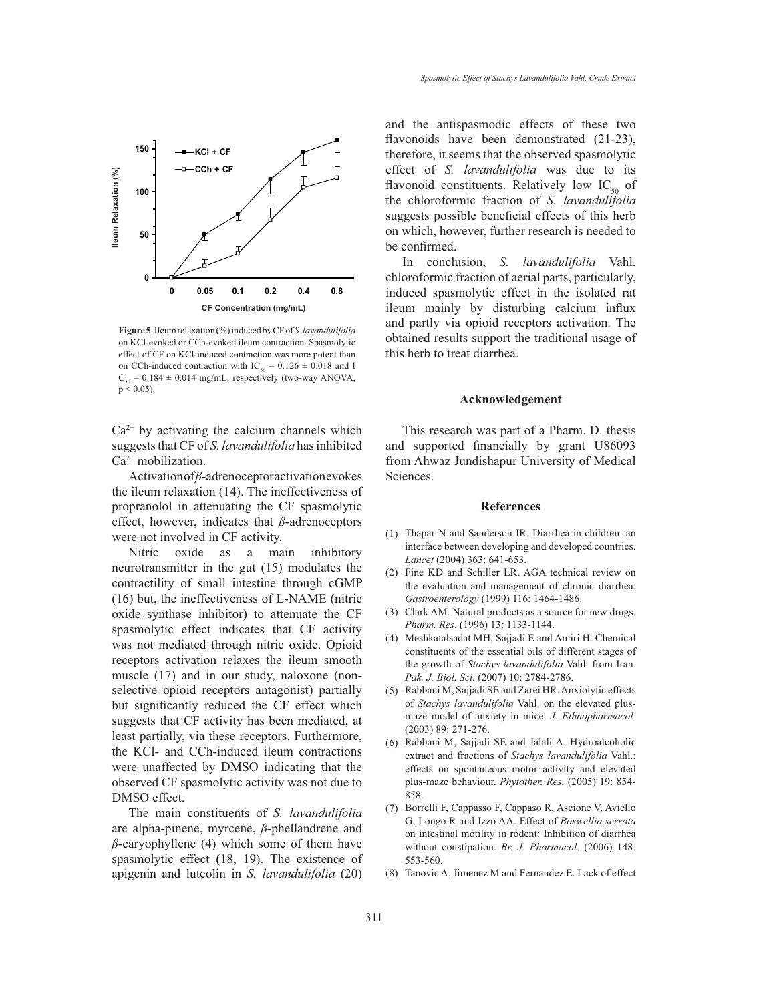

**Figure 5**. Ileum relaxation (%) induced by CF of *S. lavandulifolia* on KCl-evoked or CCh-evoked ileum contraction. Spasmolytic effect of CF on KCl-induced contraction was more potent than on CCh-induced contraction with IC<sub>50</sub> =  $0.126 \pm 0.018$  and I  $C_{50} = 0.184 \pm 0.014$  mg/mL, respectively (two-way ANOVA,  $p < 0.05$ ).

 $Ca<sup>2+</sup>$  by activating the calcium channels which suggests that CF of *S. lavandulifolia* has inhibited  $Ca<sup>2+</sup>$  mobilization.

Activation of *ß*-adrenoceptor activation evokes the ileum relaxation (14). The ineffectiveness of propranolol in attenuating the CF spasmolytic effect, however, indicates that  $\beta$ -adrenoceptors were not involved in CF activity.

Nitric oxide as a main inhibitory neurotransmitter in the gut (15) modulates the contractility of small intestine through cGMP  $(16)$  but, the ineffectiveness of L-NAME (nitric oxide synthase inhibitor) to attenuate the CF spasmolytic effect indicates that CF activity was not mediated through nitric oxide. Opioid receptors activation relaxes the ileum smooth muscle (17) and in our study, naloxone (nonselective opioid receptors antagonist) partially but significantly reduced the CF effect which suggests that CF activity has been mediated, at least partially, via these receptors. Furthermore, the KCl- and CCh-induced ileum contractions were unaffected by DMSO indicating that the observed CF spasmolytic activity was not due to DMSO effect.

The main constituents of *S. lavandulifolia* are alpha-pinene, myrcene, *ȕ*-phellandrene and  $\beta$ -caryophyllene (4) which some of them have spasmolytic effect (18, 19). The existence of apigenin and luteolin in *S. lavandulifolia* (20)

and the antispasmodic effects of these two flavonoids have been demonstrated (21-23), therefore, it seems that the observed spasmolytic effect of *S. lavandulifolia* was due to its flavonoid constituents. Relatively low  $IC_{\rm so}$  of the chloroformic fraction of *S. lavandulifolia* suggests possible beneficial effects of this herb on which, however, further research is needed to be confirmed.

In conclusion, *S. lavandulifolia* Vahl. chloroformic fraction of aerial parts, particularly, induced spasmolytic effect in the isolated rat ileum mainly by disturbing calcium influx and partly via opioid receptors activation. The obtained results support the traditional usage of this herb to treat diarrhea.

#### **Acknowledgement**

This research was part of a Pharm. D. thesis and supported financially by grant U86093 from Ahwaz Jundishapur University of Medical Sciences.

#### **References**

- (1) Thapar N and Sanderson IR. Diarrhea in children: an interface between developing and developed countries. *Lancet* (2004) 363: 641-653.
- (2) Fine KD and Schiller LR. AGA technical review on the evaluation and management of chronic diarrhea. *Gastroenterology* (1999) 116: 1464-1486.
- Clark AM. Natural products as a source for new drugs. (3) *Pharm. Res*. (1996) 13: 1133-1144.
- Meshkatalsadat MH, Sajjadi E and Amiri H. Chemical (4) constituents of the essential oils of different stages of the growth of *Stachys lavandulifolia* Vahl. from Iran. *Pak. J. Biol. Sci.* (2007) 10: 2784-2786.
- Rabbani M, Sajjadi SE and Zarei HR. Anxiolytic effects (5) of *Stachys lavandulifolia* Vahl. on the elevated plusmaze model of anxiety in mice. *J. Ethnopharmacol.* (2003) 89: 271-276.
- Rabbani M, Sajjadi SE and Jalali A. Hydroalcoholic (6) extract and fractions of *Stachys lavandulifolia* Vahl.: effects on spontaneous motor activity and elevated plus-maze behaviour. *Phytother. Res.* (2005) 19: 854- 858.
- (7) Borrelli F, Cappasso F, Cappaso R, Ascione V, Aviello G, Longo R and Izzo AA. Effect of Boswellia serrata on intestinal motility in rodent: Inhibition of diarrhea without constipation. *Br. J. Pharmacol*. (2006) 148: 553-560.
- (8) Tanovic A, Jimenez M and Fernandez E. Lack of effect